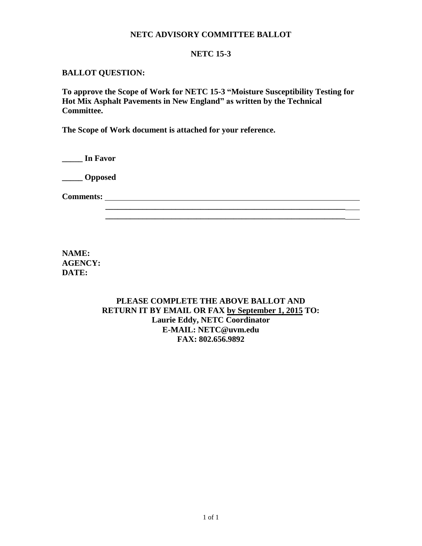## **NETC ADVISORY COMMITTEE BALLOT**

### **NETC 15-3**

#### **BALLOT QUESTION:**

**To approve the Scope of Work for NETC 15-3 "Moisture Susceptibility Testing for Hot Mix Asphalt Pavements in New England" as written by the Technical Committee.** 

**The Scope of Work document is attached for your reference.**

**\_\_\_\_\_ In Favor**

**\_\_\_\_\_ Opposed**

**Comments:**

**NAME: AGENCY: DATE:**

> **PLEASE COMPLETE THE ABOVE BALLOT AND RETURN IT BY EMAIL OR FAX by September 1, 2015 TO: Laurie Eddy, NETC Coordinator E-MAIL: NETC@uvm.edu FAX: 802.656.9892**

 **\_\_\_\_\_\_\_\_\_\_\_\_\_\_\_\_\_\_\_\_\_\_\_\_\_\_\_\_\_\_\_\_\_\_\_\_\_\_\_\_\_\_\_\_\_\_\_\_\_\_\_\_\_\_\_\_\_\_**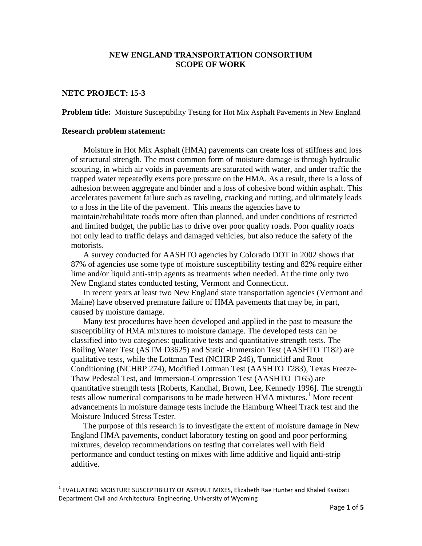## **NEW ENGLAND TRANSPORTATION CONSORTIUM SCOPE OF WORK**

## **NETC PROJECT: 15-3**

**Problem title:** Moisture Susceptibility Testing for Hot Mix Asphalt Pavements in New England

#### **Research problem statement:**

Moisture in Hot Mix Asphalt (HMA) pavements can create loss of stiffness and loss of structural strength. The most common form of moisture damage is through hydraulic scouring, in which air voids in pavements are saturated with water, and under traffic the trapped water repeatedly exerts pore pressure on the HMA. As a result, there is a loss of adhesion between aggregate and binder and a loss of cohesive bond within asphalt. This accelerates pavement failure such as raveling, cracking and rutting, and ultimately leads to a loss in the life of the pavement. This means the agencies have to maintain/rehabilitate roads more often than planned, and under conditions of restricted and limited budget, the public has to drive over poor quality roads. Poor quality roads not only lead to traffic delays and damaged vehicles, but also reduce the safety of the motorists.

A survey conducted for AASHTO agencies by Colorado DOT in 2002 shows that 87% of agencies use some type of moisture susceptibility testing and 82% require either lime and/or liquid anti-strip agents as treatments when needed. At the time only two New England states conducted testing, Vermont and Connecticut.

In recent years at least two New England state transportation agencies (Vermont and Maine) have observed premature failure of HMA pavements that may be, in part, caused by moisture damage.

Many test procedures have been developed and applied in the past to measure the susceptibility of HMA mixtures to moisture damage. The developed tests can be classified into two categories: qualitative tests and quantitative strength tests. The Boiling Water Test (ASTM D3625) and Static -Immersion Test (AASHTO T182) are qualitative tests, while the Lottman Test (NCHRP 246), Tunnicliff and Root Conditioning (NCHRP 274), Modified Lottman Test (AASHTO T283), Texas Freeze-Thaw Pedestal Test, and Immersion-Compression Test (AASHTO T165) are quantitative strength tests [Roberts, Kandhal, Brown, Lee, Kennedy 1996]. The strength tests allow numerical comparisons to be made between HMA mixtures.<sup>[1](#page-1-0)</sup> More recent advancements in moisture damage tests include the Hamburg Wheel Track test and the Moisture Induced Stress Tester.

The purpose of this research is to investigate the extent of moisture damage in New England HMA pavements, conduct laboratory testing on good and poor performing mixtures, develop recommendations on testing that correlates well with field performance and conduct testing on mixes with lime additive and liquid anti-strip additive.

<span id="page-1-0"></span> <sup>1</sup> EVALUATING MOISTURE SUSCEPTIBILITY OF ASPHALT MIXES, Elizabeth Rae Hunter and Khaled Ksaibati Department Civil and Architectural Engineering, University of Wyoming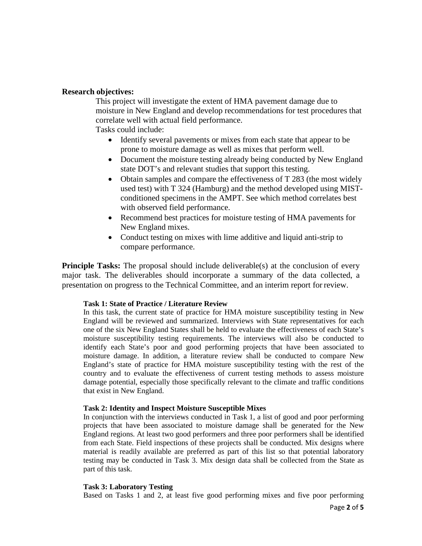## **Research objectives:**

This project will investigate the extent of HMA pavement damage due to moisture in New England and develop recommendations for test procedures that correlate well with actual field performance. Tasks could include:

- Identify several pavements or mixes from each state that appear to be prone to moisture damage as well as mixes that perform well.
- Document the moisture testing already being conducted by New England state DOT's and relevant studies that support this testing.
- Obtain samples and compare the effectiveness of T 283 (the most widely used test) with T 324 (Hamburg) and the method developed using MISTconditioned specimens in the AMPT. See which method correlates best with observed field performance.
- Recommend best practices for moisture testing of HMA pavements for New England mixes.
- Conduct testing on mixes with lime additive and liquid anti-strip to compare performance.

**Principle Tasks:** The proposal should include deliverable(s) at the conclusion of every major task. The deliverables should incorporate a summary of the data collected, a presentation on progress to the Technical Committee, and an interim report for review.

#### **Task 1: State of Practice / Literature Review**

In this task, the current state of practice for HMA moisture susceptibility testing in New England will be reviewed and summarized. Interviews with State representatives for each one of the six New England States shall be held to evaluate the effectiveness of each State's moisture susceptibility testing requirements. The interviews will also be conducted to identify each State's poor and good performing projects that have been associated to moisture damage. In addition, a literature review shall be conducted to compare New England's state of practice for HMA moisture susceptibility testing with the rest of the country and to evaluate the effectiveness of current testing methods to assess moisture damage potential, especially those specifically relevant to the climate and traffic conditions that exist in New England.

#### **Task 2: Identity and Inspect Moisture Susceptible Mixes**

In conjunction with the interviews conducted in Task 1, a list of good and poor performing projects that have been associated to moisture damage shall be generated for the New England regions. At least two good performers and three poor performers shall be identified from each State. Field inspections of these projects shall be conducted. Mix designs where material is readily available are preferred as part of this list so that potential laboratory testing may be conducted in Task 3. Mix design data shall be collected from the State as part of this task.

#### **Task 3: Laboratory Testing**

Based on Tasks 1 and 2, at least five good performing mixes and five poor performing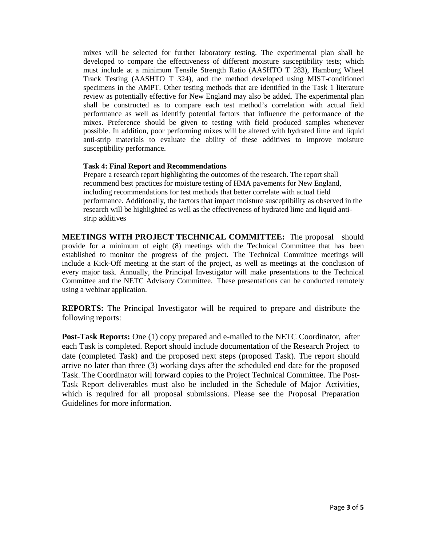mixes will be selected for further laboratory testing. The experimental plan shall be developed to compare the effectiveness of different moisture susceptibility tests; which must include at a minimum Tensile Strength Ratio (AASHTO T 283), Hamburg Wheel Track Testing (AASHTO T 324), and the method developed using MIST-conditioned specimens in the AMPT. Other testing methods that are identified in the Task 1 literature review as potentially effective for New England may also be added. The experimental plan shall be constructed as to compare each test method's correlation with actual field performance as well as identify potential factors that influence the performance of the mixes. Preference should be given to testing with field produced samples whenever possible. In addition, poor performing mixes will be altered with hydrated lime and liquid anti-strip materials to evaluate the ability of these additives to improve moisture susceptibility performance.

#### **Task 4: Final Report and Recommendations**

Prepare a research report highlighting the outcomes of the research. The report shall recommend best practices for moisture testing of HMA pavements for New England, including recommendations for test methods that better correlate with actual field performance. Additionally, the factors that impact moisture susceptibility as observed in the research will be highlighted as well as the effectiveness of hydrated lime and liquid antistrip additives

**MEETINGS WITH PROJECT TECHNICAL COMMITTEE:** The proposal should provide for a minimum of eight (8) meetings with the Technical Committee that has been established to monitor the progress of the project. The Technical Committee meetings will include a Kick-Off meeting at the start of the project, as well as meetings at the conclusion of every major task. Annually, the Principal Investigator will make presentations to the Technical Committee and the NETC Advisory Committee. These presentations can be conducted remotely using a webinar application.

**REPORTS:** The Principal Investigator will be required to prepare and distribute the following reports:

**Post-Task Reports:** One (1) copy prepared and e-mailed to the NETC Coordinator, after each Task is completed. Report should include documentation of the Research Project to date (completed Task) and the proposed next steps (proposed Task). The report should arrive no later than three (3) working days after the scheduled end date for the proposed Task. The Coordinator will forward copies to the Project Technical Committee. The Post-Task Report deliverables must also be included in the Schedule of Major Activities, which is required for all proposal submissions. Please see the Proposal Preparation Guidelines for more information.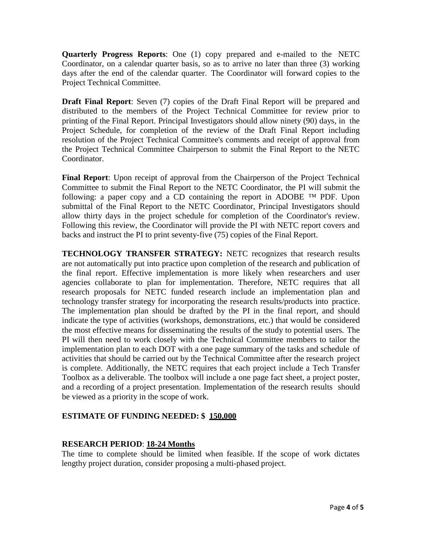**Quarterly Progress Reports**: One (1) copy prepared and e-mailed to the NETC Coordinator, on a calendar quarter basis, so as to arrive no later than three (3) working days after the end of the calendar quarter. The Coordinator will forward copies to the Project Technical Committee.

**Draft Final Report**: Seven (7) copies of the Draft Final Report will be prepared and distributed to the members of the Project Technical Committee for review prior to printing of the Final Report. Principal Investigators should allow ninety (90) days, in the Project Schedule, for completion of the review of the Draft Final Report including resolution of the Project Technical Committee's comments and receipt of approval from the Project Technical Committee Chairperson to submit the Final Report to the NETC Coordinator.

**Final Report**: Upon receipt of approval from the Chairperson of the Project Technical Committee to submit the Final Report to the NETC Coordinator, the PI will submit the following: a paper copy and a CD containing the report in ADOBE  $TM$  PDF. Upon submittal of the Final Report to the NETC Coordinator, Principal Investigators should allow thirty days in the project schedule for completion of the Coordinator's review. Following this review, the Coordinator will provide the PI with NETC report covers and backs and instruct the PI to print seventy-five (75) copies of the Final Report.

**TECHNOLOGY TRANSFER STRATEGY:** NETC recognizes that research results are not automatically put into practice upon completion of the research and publication of the final report. Effective implementation is more likely when researchers and user agencies collaborate to plan for implementation. Therefore, NETC requires that all research proposals for NETC funded research include an implementation plan and technology transfer strategy for incorporating the research results/products into practice. The implementation plan should be drafted by the PI in the final report, and should indicate the type of activities (workshops, demonstrations, etc.) that would be considered the most effective means for disseminating the results of the study to potential users. The PI will then need to work closely with the Technical Committee members to tailor the implementation plan to each DOT with a one page summary of the tasks and schedule of activities that should be carried out by the Technical Committee after the research project is complete. Additionally, the NETC requires that each project include a Tech Transfer Toolbox as a deliverable. The toolbox will include a one page fact sheet, a project poster, and a recording of a project presentation. Implementation of the research results should be viewed as a priority in the scope of work.

# **ESTIMATE OF FUNDING NEEDED: \$ 150,000**

# **RESEARCH PERIOD**: **18-24 Months**

The time to complete should be limited when feasible. If the scope of work dictates lengthy project duration, consider proposing a multi-phased project.